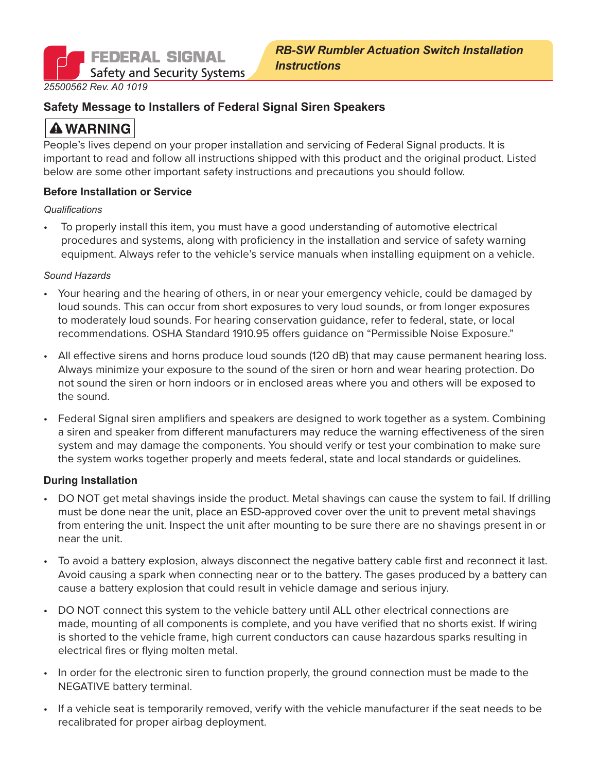**FEDERAL SIGNAL Safety and Security Systems** 

*25500562 Rev. A0 1019*

#### **Safety Message to Installers of Federal Signal Siren Speakers**

# **A WARNING**

People's lives depend on your proper installation and servicing of Federal Signal products. It is important to read and follow all instructions shipped with this product and the original product. Listed below are some other important safety instructions and precautions you should follow.

#### **Before Installation or Service**

#### *Qualifications*

• To properly install this item, you must have a good understanding of automotive electrical procedures and systems, along with proficiency in the installation and service of safety warning equipment. Always refer to the vehicle's service manuals when installing equipment on a vehicle.

#### *Sound Hazards*

- Your hearing and the hearing of others, in or near your emergency vehicle, could be damaged by loud sounds. This can occur from short exposures to very loud sounds, or from longer exposures to moderately loud sounds. For hearing conservation guidance, refer to federal, state, or local recommendations. OSHA Standard 1910.95 offers guidance on "Permissible Noise Exposure."
- All effective sirens and horns produce loud sounds (120 dB) that may cause permanent hearing loss. Always minimize your exposure to the sound of the siren or horn and wear hearing protection. Do not sound the siren or horn indoors or in enclosed areas where you and others will be exposed to the sound.
- Federal Signal siren amplifiers and speakers are designed to work together as a system. Combining a siren and speaker from different manufacturers may reduce the warning effectiveness of the siren system and may damage the components. You should verify or test your combination to make sure the system works together properly and meets federal, state and local standards or guidelines.

#### **During Installation**

- DO NOT get metal shavings inside the product. Metal shavings can cause the system to fail. If drilling must be done near the unit, place an ESD-approved cover over the unit to prevent metal shavings from entering the unit. Inspect the unit after mounting to be sure there are no shavings present in or near the unit.
- To avoid a battery explosion, always disconnect the negative battery cable first and reconnect it last. Avoid causing a spark when connecting near or to the battery. The gases produced by a battery can cause a battery explosion that could result in vehicle damage and serious injury.
- DO NOT connect this system to the vehicle battery until ALL other electrical connections are made, mounting of all components is complete, and you have verified that no shorts exist. If wiring is shorted to the vehicle frame, high current conductors can cause hazardous sparks resulting in electrical fires or flying molten metal.
- In order for the electronic siren to function properly, the ground connection must be made to the NEGATIVE battery terminal.
- If a vehicle seat is temporarily removed, verify with the vehicle manufacturer if the seat needs to be recalibrated for proper airbag deployment.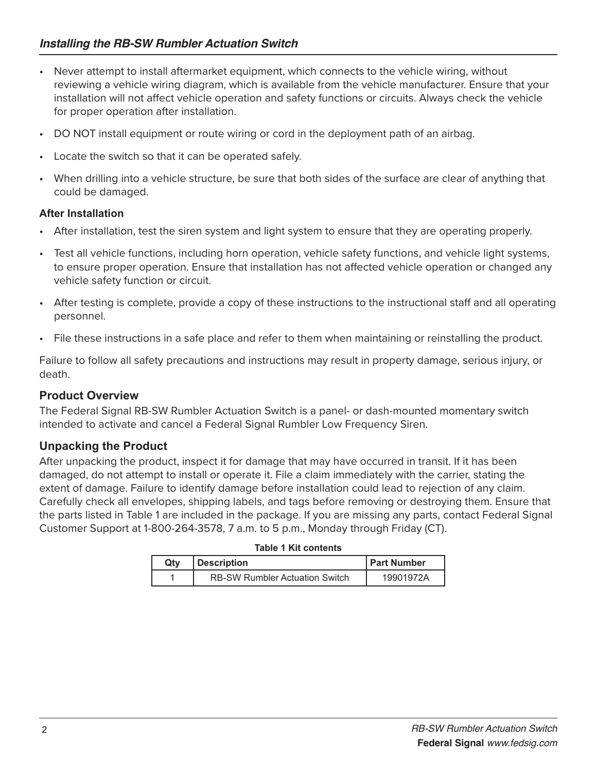- Never attempt to install aftermarket equipment, which connects to the vehicle wiring, without reviewing a vehicle wiring diagram, which is available from the vehicle manufacturer. Ensure that your installation will not affect vehicle operation and safety functions or circuits. Always check the vehicle for proper operation after installation.
- DO NOT install equipment or route wiring or cord in the deployment path of an airbag.
- Locate the switch so that it can be operated safely.
- When drilling into a vehicle structure, be sure that both sides of the surface are clear of anything that could be damaged.

## **After Installation**

- After installation, test the siren system and light system to ensure that they are operating properly.
- Test all vehicle functions, including horn operation, vehicle safety functions, and vehicle light systems, to ensure proper operation. Ensure that installation has not affected vehicle operation or changed any vehicle safety function or circuit.
- After testing is complete, provide a copy of these instructions to the instructional staff and all operating personnel.
- File these instructions in a safe place and refer to them when maintaining or reinstalling the product.

Failure to follow all safety precautions and instructions may result in property damage, serious injury, or death.

## **Product Overview**

The Federal Signal RB-SW Rumbler Actuation Switch is a panel- or dash-mounted momentary switch intended to activate and cancel a Federal Signal Rumbler Low Frequency Siren.

## **Unpacking the Product**

After unpacking the product, inspect it for damage that may have occurred in transit. If it has been damaged, do not attempt to install or operate it. File a claim immediately with the carrier, stating the extent of damage. Failure to identify damage before installation could lead to rejection of any claim. Carefully check all envelopes, shipping labels, and tags before removing or destroying them. Ensure that the parts listed in Table 1 are included in the package. If you are missing any parts, contact Federal Signal Customer Support at 1-800-264-3578, 7 a.m. to 5 p.m., Monday through Friday (CT).

#### **Table 1 Kit contents**

| Qtv | Description                           | <b>Part Number</b> |
|-----|---------------------------------------|--------------------|
|     | <b>RB-SW Rumbler Actuation Switch</b> | 19901972A          |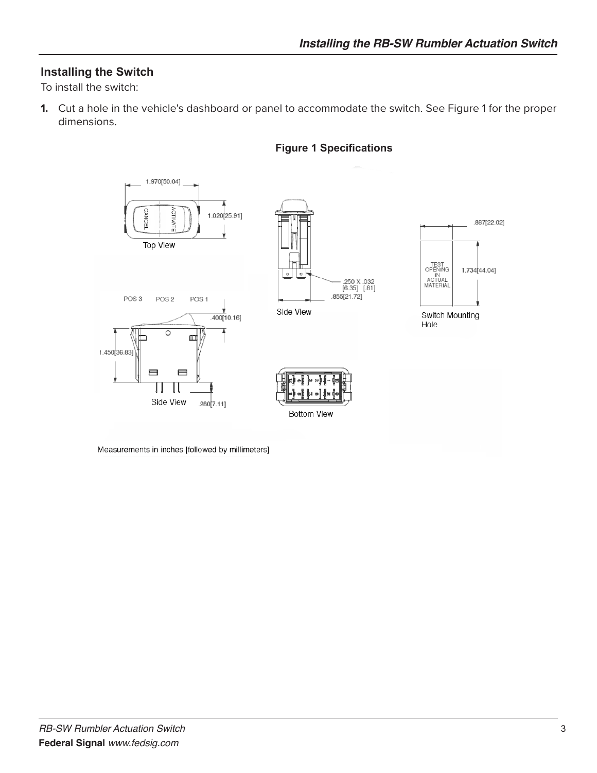## **Installing the Switch**

To install the switch:

**1.** Cut a hole in the vehicle's dashboard or panel to accommodate the switch. See Figure 1 for the proper dimensions.



#### **Figure 1 Specifications**

Measurements in inches [followed by millimeters]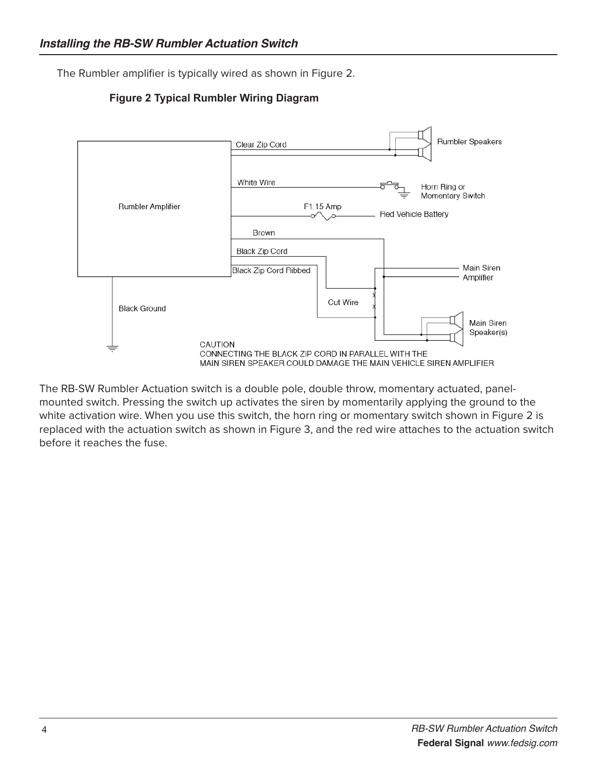The Rumbler amplifier is typically wired as shown in Figure 2.





The RB-SW Rumbler Actuation switch is a double pole, double throw, momentary actuated, panelmounted switch. Pressing the switch up activates the siren by momentarily applying the ground to the white activation wire. When you use this switch, the horn ring or momentary switch shown in Figure 2 is replaced with the actuation switch as shown in Figure 3, and the red wire attaches to the actuation switch before it reaches the fuse.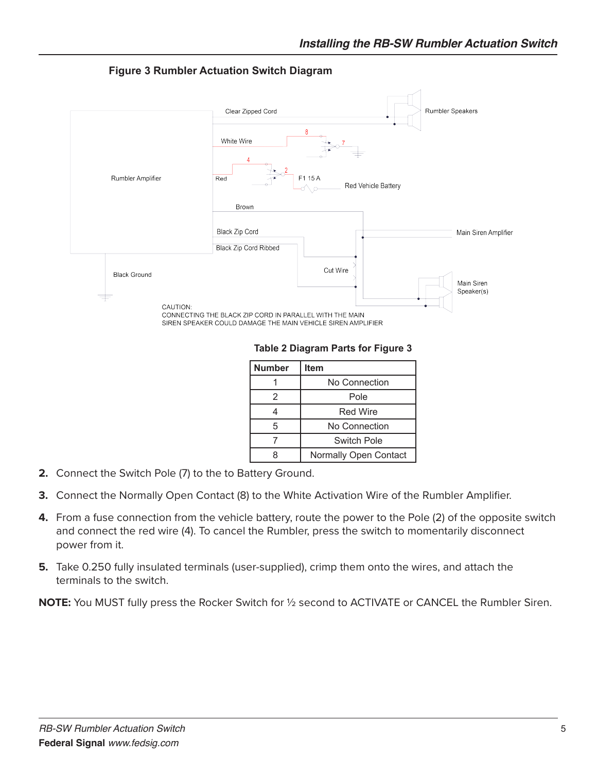

**Figure 3 Rumbler Actuation Switch Diagram**

**Table 2 Diagram Parts for Figure 3**

| <b>Number</b> | <b>Item</b>           |
|---------------|-----------------------|
|               | No Connection         |
| 2             | Pole                  |
|               | <b>Red Wire</b>       |
| 5             | No Connection         |
|               | <b>Switch Pole</b>    |
| Զ             | Normally Open Contact |

- **2.** Connect the Switch Pole (7) to the to Battery Ground.
- **3.** Connect the Normally Open Contact (8) to the White Activation Wire of the Rumbler Amplifier.
- **4.** From a fuse connection from the vehicle battery, route the power to the Pole (2) of the opposite switch and connect the red wire (4). To cancel the Rumbler, press the switch to momentarily disconnect power from it.
- **5.** Take 0.250 fully insulated terminals (user-supplied), crimp them onto the wires, and attach the terminals to the switch.

**NOTE:** You MUST fully press the Rocker Switch for ½ second to ACTIVATE or CANCEL the Rumbler Siren.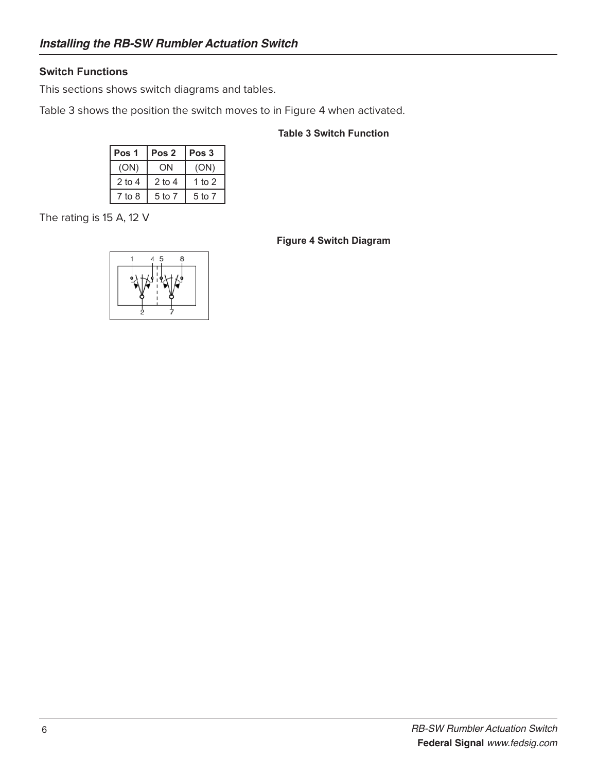### **Switch Functions**

This sections shows switch diagrams and tables.

Table 3 shows the position the switch moves to in Figure 4 when activated.

#### **Table 3 Switch Function**

| Pos 1    | Pos <sub>2</sub> | Pos <sub>3</sub> |  |  |
|----------|------------------|------------------|--|--|
| (ON)     | ON               | (ON)             |  |  |
| $2$ to 4 | $2$ to 4         | 1 to 2           |  |  |
| 7 to 8   | 5 to 7           | 5 to 7           |  |  |

The rating is 15 A, 12 V

#### **Figure 4 Switch Diagram**

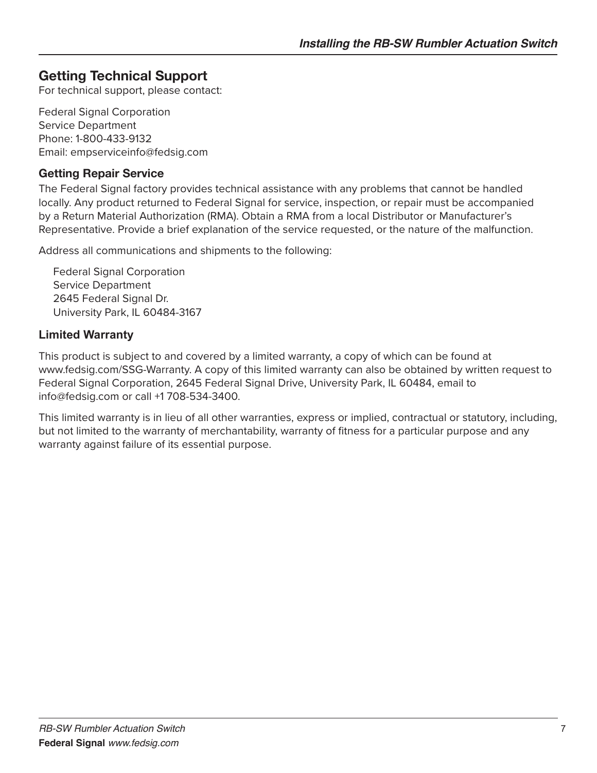## **Getting Technical Support**

For technical support, please contact:

Federal Signal Corporation Service Department Phone: 1-800-433-9132 Email: empserviceinfo@fedsig.com

## **Getting Repair Service**

The Federal Signal factory provides technical assistance with any problems that cannot be handled locally. Any product returned to Federal Signal for service, inspection, or repair must be accompanied by a Return Material Authorization (RMA). Obtain a RMA from a local Distributor or Manufacturer's Representative. Provide a brief explanation of the service requested, or the nature of the malfunction.

Address all communications and shipments to the following:

Federal Signal Corporation Service Department 2645 Federal Signal Dr. University Park, IL 60484-3167

## **Limited Warranty**

This product is subject to and covered by a limited warranty, a copy of which can be found at www.fedsig.com/SSG-Warranty. A copy of this limited warranty can also be obtained by written request to Federal Signal Corporation, 2645 Federal Signal Drive, University Park, IL 60484, email to info@fedsig.com or call +1 708-534-3400.

This limited warranty is in lieu of all other warranties, express or implied, contractual or statutory, including, but not limited to the warranty of merchantability, warranty of fitness for a particular purpose and any warranty against failure of its essential purpose.